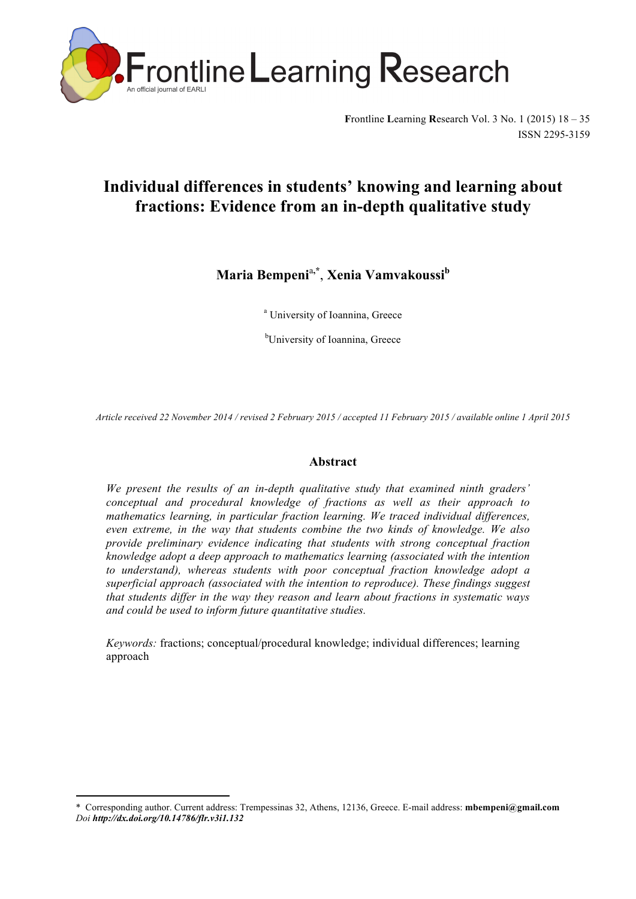

**F**rontline **L**earning **R**esearch Vol. 3 No. 1 (2015) 18 – 35 ISSN 2295-3159

# **Individual differences in students' knowing and learning about fractions: Evidence from an in-depth qualitative study**

**Maria Bempeni**<sup>a</sup>**,\*** , **Xenia Vamvakoussi<sup>b</sup>**

<sup>a</sup> University of Ioannina, Greece

<sup>b</sup>University of Ioannina, Greece

*Article received 22 November 2014 / revised 2 February 2015 / accepted 11 February 2015 / available online 1 April 2015*

# **Abstract**

*We present the results of an in-depth qualitative study that examined ninth graders' conceptual and procedural knowledge of fractions as well as their approach to mathematics learning, in particular fraction learning. We traced individual differences, even extreme, in the way that students combine the two kinds of knowledge. We also provide preliminary evidence indicating that students with strong conceptual fraction knowledge adopt a deep approach to mathematics learning (associated with the intention to understand), whereas students with poor conceptual fraction knowledge adopt a superficial approach (associated with the intention to reproduce). These findings suggest that students differ in the way they reason and learn about fractions in systematic ways and could be used to inform future quantitative studies.* 

*Keywords:* fractions; conceptual/procedural knowledge; individual differences; learning approach

 

<sup>\*</sup> Corresponding author. Current address: Trempessinas 32, Athens, 12136, Greece. E-mail address: **mbempeni@gmail.com**  *Doi http://dx.doi.org/10.14786/flr.v3i1.132*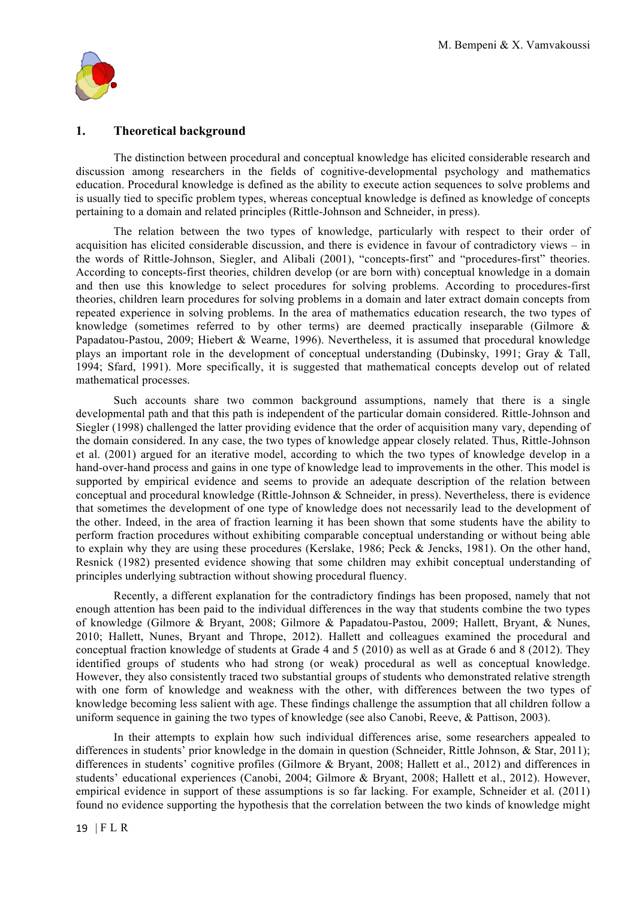

# **1. Theoretical background**

The distinction between procedural and conceptual knowledge has elicited considerable research and discussion among researchers in the fields of cognitive-developmental psychology and mathematics education. Procedural knowledge is defined as the ability to execute action sequences to solve problems and is usually tied to specific problem types, whereas conceptual knowledge is defined as knowledge of concepts pertaining to a domain and related principles (Rittle-Johnson and Schneider, in press).

The relation between the two types of knowledge, particularly with respect to their order of acquisition has elicited considerable discussion, and there is evidence in favour of contradictory views – in the words of Rittle-Johnson, Siegler, and Alibali (2001), "concepts-first" and "procedures-first" theories. According to concepts-first theories, children develop (or are born with) conceptual knowledge in a domain and then use this knowledge to select procedures for solving problems. According to procedures-first theories, children learn procedures for solving problems in a domain and later extract domain concepts from repeated experience in solving problems. In the area of mathematics education research, the two types of knowledge (sometimes referred to by other terms) are deemed practically inseparable (Gilmore & Papadatou-Pastou, 2009; Hiebert & Wearne, 1996). Nevertheless, it is assumed that procedural knowledge plays an important role in the development of conceptual understanding (Dubinsky, 1991; Gray & Tall, 1994; Sfard, 1991). More specifically, it is suggested that mathematical concepts develop out of related mathematical processes.

Such accounts share two common background assumptions, namely that there is a single developmental path and that this path is independent of the particular domain considered. Rittle-Johnson and Siegler (1998) challenged the latter providing evidence that the order of acquisition many vary, depending of the domain considered. In any case, the two types of knowledge appear closely related. Thus, Rittle-Johnson et al. (2001) argued for an iterative model, according to which the two types of knowledge develop in a hand-over-hand process and gains in one type of knowledge lead to improvements in the other. This model is supported by empirical evidence and seems to provide an adequate description of the relation between conceptual and procedural knowledge (Rittle-Johnson & Schneider, in press). Nevertheless, there is evidence that sometimes the development of one type of knowledge does not necessarily lead to the development of the other. Indeed, in the area of fraction learning it has been shown that some students have the ability to perform fraction procedures without exhibiting comparable conceptual understanding or without being able to explain why they are using these procedures (Kerslake, 1986; Peck & Jencks, 1981). On the other hand, Resnick (1982) presented evidence showing that some children may exhibit conceptual understanding of principles underlying subtraction without showing procedural fluency.

Recently, a different explanation for the contradictory findings has been proposed, namely that not enough attention has been paid to the individual differences in the way that students combine the two types of knowledge (Gilmore & Bryant, 2008; Gilmore & Papadatou-Pastou, 2009; Hallett, Bryant, & Nunes, 2010; Hallett, Nunes, Bryant and Thrope, 2012). Hallett and colleagues examined the procedural and conceptual fraction knowledge of students at Grade 4 and 5 (2010) as well as at Grade 6 and 8 (2012). They identified groups of students who had strong (or weak) procedural as well as conceptual knowledge. However, they also consistently traced two substantial groups of students who demonstrated relative strength with one form of knowledge and weakness with the other, with differences between the two types of knowledge becoming less salient with age. These findings challenge the assumption that all children follow a uniform sequence in gaining the two types of knowledge (see also Canobi, Reeve, & Pattison, 2003).

In their attempts to explain how such individual differences arise, some researchers appealed to differences in students' prior knowledge in the domain in question (Schneider, Rittle Johnson, & Star, 2011); differences in students' cognitive profiles (Gilmore & Bryant, 2008; Hallett et al., 2012) and differences in students' educational experiences (Canobi, 2004; Gilmore & Bryant, 2008; Hallett et al., 2012). However, empirical evidence in support of these assumptions is so far lacking. For example, Schneider et al. (2011) found no evidence supporting the hypothesis that the correlation between the two kinds of knowledge might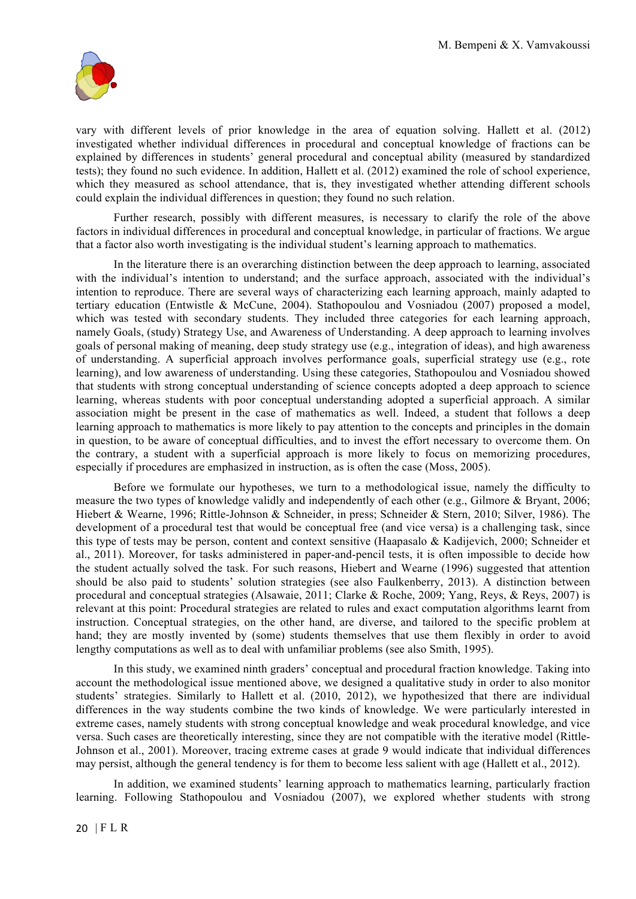

vary with different levels of prior knowledge in the area of equation solving. Hallett et al. (2012) investigated whether individual differences in procedural and conceptual knowledge of fractions can be explained by differences in students' general procedural and conceptual ability (measured by standardized tests); they found no such evidence. In addition, Hallett et al. (2012) examined the role of school experience, which they measured as school attendance, that is, they investigated whether attending different schools could explain the individual differences in question; they found no such relation.

Further research, possibly with different measures, is necessary to clarify the role of the above factors in individual differences in procedural and conceptual knowledge, in particular of fractions. We argue that a factor also worth investigating is the individual student's learning approach to mathematics.

In the literature there is an overarching distinction between the deep approach to learning, associated with the individual's intention to understand; and the surface approach, associated with the individual's intention to reproduce. There are several ways of characterizing each learning approach, mainly adapted to tertiary education (Entwistle & McCune, 2004). Stathopoulou and Vosniadou (2007) proposed a model, which was tested with secondary students. They included three categories for each learning approach, namely Goals, (study) Strategy Use, and Awareness of Understanding. A deep approach to learning involves goals of personal making of meaning, deep study strategy use (e.g., integration of ideas), and high awareness of understanding. A superficial approach involves performance goals, superficial strategy use (e.g., rote learning), and low awareness of understanding. Using these categories, Stathopoulou and Vosniadou showed that students with strong conceptual understanding of science concepts adopted a deep approach to science learning, whereas students with poor conceptual understanding adopted a superficial approach. A similar association might be present in the case of mathematics as well. Indeed, a student that follows a deep learning approach to mathematics is more likely to pay attention to the concepts and principles in the domain in question, to be aware of conceptual difficulties, and to invest the effort necessary to overcome them. On the contrary, a student with a superficial approach is more likely to focus on memorizing procedures, especially if procedures are emphasized in instruction, as is often the case (Moss, 2005).

Before we formulate our hypotheses, we turn to a methodological issue, namely the difficulty to measure the two types of knowledge validly and independently of each other (e.g., Gilmore & Bryant, 2006; Hiebert & Wearne, 1996; Rittle-Johnson & Schneider, in press; Schneider & Stern, 2010; Silver, 1986). The development of a procedural test that would be conceptual free (and vice versa) is a challenging task, since this type of tests may be person, content and context sensitive (Haapasalo & Kadijevich, 2000; Schneider et al., 2011). Moreover, for tasks administered in paper-and-pencil tests, it is often impossible to decide how the student actually solved the task. For such reasons, Hiebert and Wearne (1996) suggested that attention should be also paid to students' solution strategies (see also Faulkenberry, 2013). A distinction between procedural and conceptual strategies (Alsawaie, 2011; Clarke & Roche, 2009; Yang, Reys, & Reys, 2007) is relevant at this point: Procedural strategies are related to rules and exact computation algorithms learnt from instruction. Conceptual strategies, on the other hand, are diverse, and tailored to the specific problem at hand; they are mostly invented by (some) students themselves that use them flexibly in order to avoid lengthy computations as well as to deal with unfamiliar problems (see also Smith, 1995).

In this study, we examined ninth graders' conceptual and procedural fraction knowledge. Taking into account the methodological issue mentioned above, we designed a qualitative study in order to also monitor students' strategies. Similarly to Hallett et al. (2010, 2012), we hypothesized that there are individual differences in the way students combine the two kinds of knowledge. We were particularly interested in extreme cases, namely students with strong conceptual knowledge and weak procedural knowledge, and vice versa. Such cases are theoretically interesting, since they are not compatible with the iterative model (Rittle-Johnson et al., 2001). Moreover, tracing extreme cases at grade 9 would indicate that individual differences may persist, although the general tendency is for them to become less salient with age (Hallett et al., 2012).

In addition, we examined students' learning approach to mathematics learning, particularly fraction learning. Following Stathopoulou and Vosniadou  $(2007)$ , we explored whether students with strong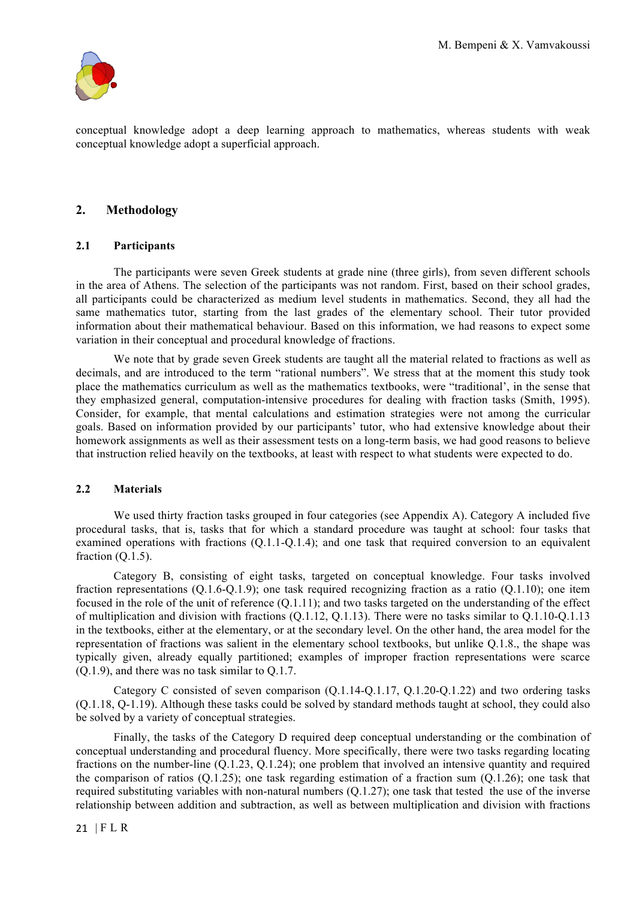

conceptual knowledge adopt a deep learning approach to mathematics, whereas students with weak conceptual knowledge adopt a superficial approach.

# **2. Methodology**

## **2.1 Participants**

The participants were seven Greek students at grade nine (three girls), from seven different schools in the area of Athens. The selection of the participants was not random. First, based on their school grades, all participants could be characterized as medium level students in mathematics. Second, they all had the same mathematics tutor, starting from the last grades of the elementary school. Their tutor provided information about their mathematical behaviour. Based on this information, we had reasons to expect some variation in their conceptual and procedural knowledge of fractions.

We note that by grade seven Greek students are taught all the material related to fractions as well as decimals, and are introduced to the term "rational numbers". We stress that at the moment this study took place the mathematics curriculum as well as the mathematics textbooks, were "traditional', in the sense that they emphasized general, computation-intensive procedures for dealing with fraction tasks (Smith, 1995). Consider, for example, that mental calculations and estimation strategies were not among the curricular goals. Based on information provided by our participants' tutor, who had extensive knowledge about their homework assignments as well as their assessment tests on a long-term basis, we had good reasons to believe that instruction relied heavily on the textbooks, at least with respect to what students were expected to do.

#### **2.2 Materials**

We used thirty fraction tasks grouped in four categories (see Appendix A). Category A included five procedural tasks, that is, tasks that for which a standard procedure was taught at school: four tasks that examined operations with fractions (Q.1.1-Q.1.4); and one task that required conversion to an equivalent fraction  $(Q.1.5)$ .

Category B, consisting of eight tasks, targeted on conceptual knowledge. Four tasks involved fraction representations (Q.1.6-Q.1.9); one task required recognizing fraction as a ratio (Q.1.10); one item focused in the role of the unit of reference (Q.1.11); and two tasks targeted on the understanding of the effect of multiplication and division with fractions (Q.1.12, Q.1.13). There were no tasks similar to Q.1.10-Q.1.13 in the textbooks, either at the elementary, or at the secondary level. On the other hand, the area model for the representation of fractions was salient in the elementary school textbooks, but unlike Q.1.8., the shape was typically given, already equally partitioned; examples of improper fraction representations were scarce (Q.1.9), and there was no task similar to Q.1.7.

Category C consisted of seven comparison (Q.1.14-Q.1.17, Q.1.20-Q.1.22) and two ordering tasks (Q.1.18, Q-1.19). Although these tasks could be solved by standard methods taught at school, they could also be solved by a variety of conceptual strategies.

Finally, the tasks of the Category D required deep conceptual understanding or the combination of conceptual understanding and procedural fluency. More specifically, there were two tasks regarding locating fractions on the number-line (Q.1.23, Q.1.24); one problem that involved an intensive quantity and required the comparison of ratios  $(Q.1.25)$ ; one task regarding estimation of a fraction sum  $(Q.1.26)$ ; one task that required substituting variables with non-natural numbers  $(0.1.27)$ ; one task that tested the use of the inverse relationship between addition and subtraction, as well as between multiplication and division with fractions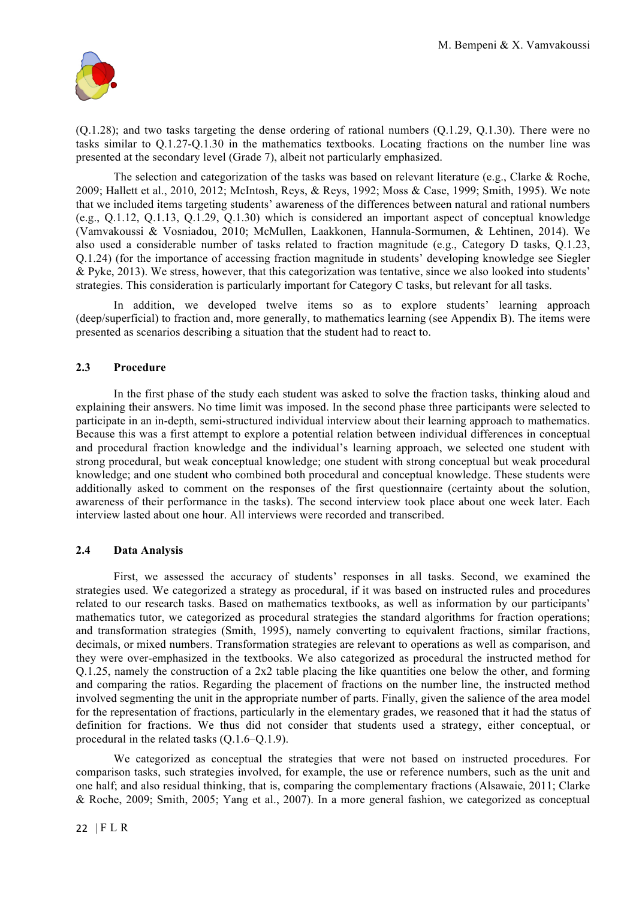

(Q.1.28); and two tasks targeting the dense ordering of rational numbers (Q.1.29, Q.1.30). There were no tasks similar to Q.1.27-Q.1.30 in the mathematics textbooks. Locating fractions on the number line was presented at the secondary level (Grade 7), albeit not particularly emphasized.

The selection and categorization of the tasks was based on relevant literature (e.g., Clarke & Roche, 2009; Hallett et al., 2010, 2012; McIntosh, Reys, & Reys, 1992; Moss & Case, 1999; Smith, 1995). We note that we included items targeting students' awareness of the differences between natural and rational numbers (e.g., Q.1.12, Q.1.13, Q.1.29, Q.1.30) which is considered an important aspect of conceptual knowledge (Vamvakoussi & Vosniadou, 2010; McMullen, Laakkonen, Hannula-Sormumen, & Lehtinen, 2014). We also used a considerable number of tasks related to fraction magnitude (e.g., Category D tasks, Q.1.23, Q.1.24) (for the importance of accessing fraction magnitude in students' developing knowledge see Siegler & Pyke, 2013). We stress, however, that this categorization was tentative, since we also looked into students' strategies. This consideration is particularly important for Category C tasks, but relevant for all tasks.

In addition, we developed twelve items so as to explore students' learning approach (deep/superficial) to fraction and, more generally, to mathematics learning (see Appendix B). The items were presented as scenarios describing a situation that the student had to react to.

# **2.3 Procedure**

In the first phase of the study each student was asked to solve the fraction tasks, thinking aloud and explaining their answers. No time limit was imposed. In the second phase three participants were selected to participate in an in-depth, semi-structured individual interview about their learning approach to mathematics. Because this was a first attempt to explore a potential relation between individual differences in conceptual and procedural fraction knowledge and the individual's learning approach, we selected one student with strong procedural, but weak conceptual knowledge; one student with strong conceptual but weak procedural knowledge; and one student who combined both procedural and conceptual knowledge. These students were additionally asked to comment on the responses of the first questionnaire (certainty about the solution, awareness of their performance in the tasks). The second interview took place about one week later. Each interview lasted about one hour. All interviews were recorded and transcribed.

#### **2.4 Data Analysis**

First, we assessed the accuracy of students' responses in all tasks. Second, we examined the strategies used. We categorized a strategy as procedural, if it was based on instructed rules and procedures related to our research tasks. Based on mathematics textbooks, as well as information by our participants' mathematics tutor, we categorized as procedural strategies the standard algorithms for fraction operations; and transformation strategies (Smith, 1995), namely converting to equivalent fractions, similar fractions, decimals, or mixed numbers. Transformation strategies are relevant to operations as well as comparison, and they were over-emphasized in the textbooks. We also categorized as procedural the instructed method for Q.1.25, namely the construction of a 2x2 table placing the like quantities one below the other, and forming and comparing the ratios. Regarding the placement of fractions on the number line, the instructed method involved segmenting the unit in the appropriate number of parts. Finally, given the salience of the area model for the representation of fractions, particularly in the elementary grades, we reasoned that it had the status of definition for fractions. We thus did not consider that students used a strategy, either conceptual, or procedural in the related tasks (Q.1.6–Q.1.9).

We categorized as conceptual the strategies that were not based on instructed procedures. For comparison tasks, such strategies involved, for example, the use or reference numbers, such as the unit and one half; and also residual thinking, that is, comparing the complementary fractions (Alsawaie, 2011; Clarke & Roche, 2009; Smith, 2005; Yang et al., 2007). In a more general fashion, we categorized as conceptual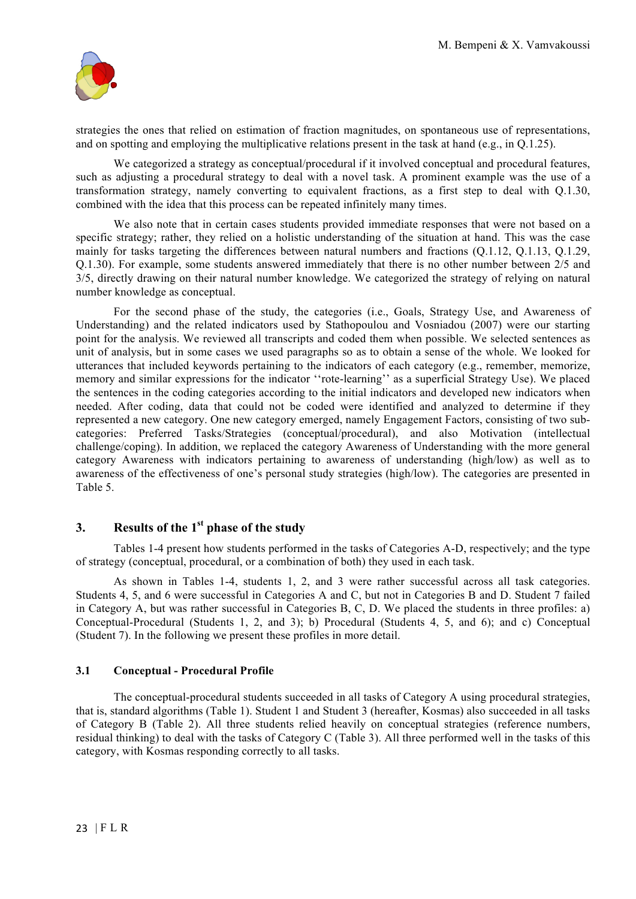

strategies the ones that relied on estimation of fraction magnitudes, on spontaneous use of representations, and on spotting and employing the multiplicative relations present in the task at hand (e.g., in Q.1.25).

We categorized a strategy as conceptual/procedural if it involved conceptual and procedural features, such as adjusting a procedural strategy to deal with a novel task. A prominent example was the use of a transformation strategy, namely converting to equivalent fractions, as a first step to deal with Q.1.30, combined with the idea that this process can be repeated infinitely many times.

We also note that in certain cases students provided immediate responses that were not based on a specific strategy; rather, they relied on a holistic understanding of the situation at hand. This was the case mainly for tasks targeting the differences between natural numbers and fractions (Q.1.12, Q.1.13, Q.1.29, Q.1.30). For example, some students answered immediately that there is no other number between 2/5 and 3/5, directly drawing on their natural number knowledge. We categorized the strategy of relying on natural number knowledge as conceptual.

For the second phase of the study, the categories (i.e., Goals, Strategy Use, and Awareness of Understanding) and the related indicators used by Stathopoulou and Vosniadou (2007) were our starting point for the analysis. We reviewed all transcripts and coded them when possible. We selected sentences as unit of analysis, but in some cases we used paragraphs so as to obtain a sense of the whole. We looked for utterances that included keywords pertaining to the indicators of each category (e.g., remember, memorize, memory and similar expressions for the indicator ''rote-learning'' as a superficial Strategy Use). We placed the sentences in the coding categories according to the initial indicators and developed new indicators when needed. After coding, data that could not be coded were identified and analyzed to determine if they represented a new category. One new category emerged, namely Engagement Factors, consisting of two subcategories: Preferred Tasks/Strategies (conceptual/procedural), and also Motivation (intellectual challenge/coping). In addition, we replaced the category Awareness of Understanding with the more general category Awareness with indicators pertaining to awareness of understanding (high/low) as well as to awareness of the effectiveness of one's personal study strategies (high/low). The categories are presented in Table 5.

# **3. Results of the 1st phase of the study**

Tables 1-4 present how students performed in the tasks of Categories A-D, respectively; and the type of strategy (conceptual, procedural, or a combination of both) they used in each task.

As shown in Tables 1-4, students 1, 2, and 3 were rather successful across all task categories. Students 4, 5, and 6 were successful in Categories A and C, but not in Categories B and D. Student 7 failed in Category A, but was rather successful in Categories B, C, D. We placed the students in three profiles: a) Conceptual-Procedural (Students 1, 2, and 3); b) Procedural (Students 4, 5, and 6); and c) Conceptual (Student 7). In the following we present these profiles in more detail.

## **3.1 Conceptual - Procedural Profile**

The conceptual-procedural students succeeded in all tasks of Category A using procedural strategies, that is, standard algorithms (Table 1). Student 1 and Student 3 (hereafter, Kosmas) also succeeded in all tasks of Category B (Table 2). All three students relied heavily on conceptual strategies (reference numbers, residual thinking) to deal with the tasks of Category C (Table 3). All three performed well in the tasks of this category, with Kosmas responding correctly to all tasks.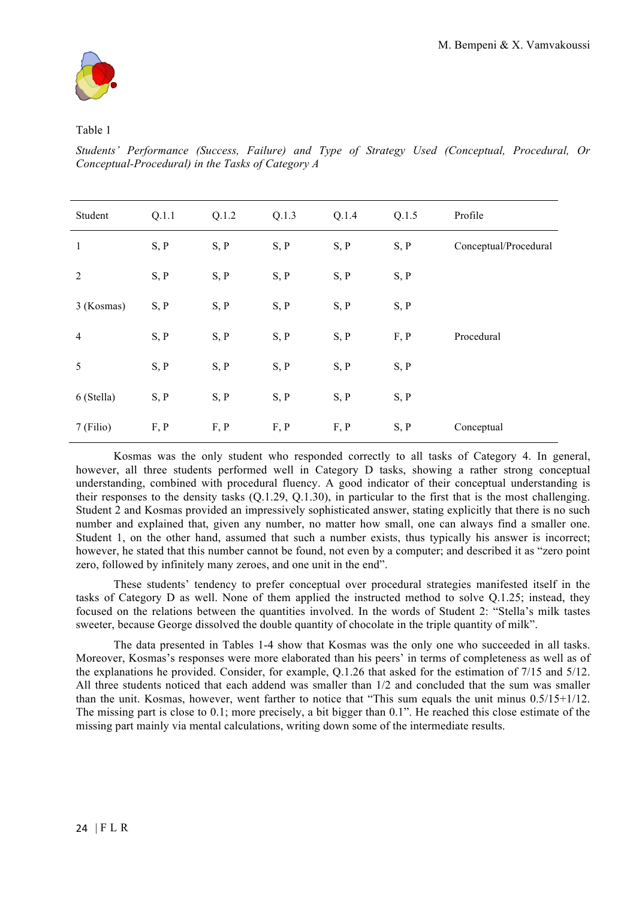

## Table 1

*Students' Performance (Success, Failure) and Type of Strategy Used (Conceptual, Procedural, Or Conceptual-Procedural) in the Tasks of Category A*

| Student        | Q.1.1 | Q.1.2 | Q.1.3 | Q.1.4 | Q.1.5 | Profile               |
|----------------|-------|-------|-------|-------|-------|-----------------------|
| $\mathbf{1}$   | S, P  | S, P  | S, P  | S, P  | S, P  | Conceptual/Procedural |
| $\overline{2}$ | S, P  | S, P  | S, P  | S, P  | S, P  |                       |
| 3 (Kosmas)     | S, P  | S, P  | S, P  | S, P  | S, P  |                       |
| $\overline{4}$ | S, P  | S, P  | S, P  | S, P  | F, P  | Procedural            |
| 5              | S, P  | S, P  | S, P  | S, P  | S, P  |                       |
| 6 (Stella)     | S, P  | S, P  | S, P  | S, P  | S, P  |                       |
| 7 (Filio)      | F, P  | F, P  | F, P  | F, P  | S, P  | Conceptual            |

Kosmas was the only student who responded correctly to all tasks of Category 4. In general, however, all three students performed well in Category D tasks, showing a rather strong conceptual understanding, combined with procedural fluency. A good indicator of their conceptual understanding is their responses to the density tasks (Q.1.29, Q.1.30), in particular to the first that is the most challenging. Student 2 and Kosmas provided an impressively sophisticated answer, stating explicitly that there is no such number and explained that, given any number, no matter how small, one can always find a smaller one. Student 1, on the other hand, assumed that such a number exists, thus typically his answer is incorrect; however, he stated that this number cannot be found, not even by a computer; and described it as "zero point zero, followed by infinitely many zeroes, and one unit in the end".

These students' tendency to prefer conceptual over procedural strategies manifested itself in the tasks of Category D as well. None of them applied the instructed method to solve Q.1.25; instead, they focused on the relations between the quantities involved. In the words of Student 2: "Stella's milk tastes sweeter, because George dissolved the double quantity of chocolate in the triple quantity of milk".

The data presented in Tables 1-4 show that Kosmas was the only one who succeeded in all tasks. Moreover, Kosmas's responses were more elaborated than his peers' in terms of completeness as well as of the explanations he provided. Consider, for example, Q.1.26 that asked for the estimation of 7/15 and 5/12. All three students noticed that each addend was smaller than  $1/2$  and concluded that the sum was smaller than the unit. Kosmas, however, went farther to notice that "This sum equals the unit minus 0.5/15+1/12. The missing part is close to 0.1; more precisely, a bit bigger than 0.1". He reached this close estimate of the missing part mainly via mental calculations, writing down some of the intermediate results.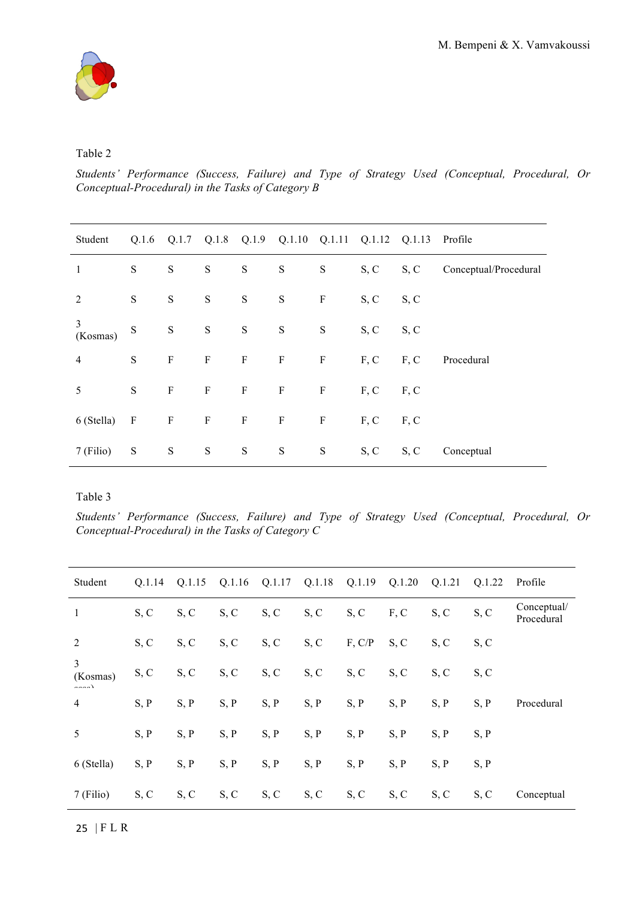

## Table 2

*Students' Performance (Success, Failure) and Type of Strategy Used (Conceptual, Procedural, Or Conceptual-Procedural) in the Tasks of Category B*

| Student        |              |              |   |               |           |              | Q.1.6 Q.1.7 Q.1.8 Q.1.9 Q.1.10 Q.1.11 Q.1.12 Q.1.13 Profile |                    |                                 |
|----------------|--------------|--------------|---|---------------|-----------|--------------|-------------------------------------------------------------|--------------------|---------------------------------|
| 1              | S            | ${\bf S}$    | S | S             | S         | S            |                                                             |                    | S, C S, C Conceptual/Procedural |
| 2              | ${\bf S}$    | ${\bf S}$    | S | $S_{\text{}}$ | ${\bf S}$ | $\mathbf{F}$ | $S, C$ $S, C$                                               |                    |                                 |
| 3<br>(Kosmas)  | S<br>S       |              | S | S             | S         | S            | $S, C$ $S, C$                                               |                    |                                 |
| $\overline{4}$ | ${\bf S}$    | $\mathbf{F}$ |   |               |           |              |                                                             |                    | F F F F F, C F, C Procedural    |
| 5              | S            | $\mathbf F$  |   |               |           |              | $F$ $F$ $F$ $F$ $F$ , $C$ $F$ , $C$                         |                    |                                 |
| 6 (Stella)     | $\mathbf{F}$ | $\mathbf{F}$ |   |               |           |              | $F$ $F$ $F$ $F$ $F$ , $C$ $F$ , $C$                         |                    |                                 |
| 7 (Filio)      | ${\bf S}$    | ${\bf S}$    | S | S             | S         | S            |                                                             | $S, C \qquad S, C$ | Conceptual                      |

Table 3

*Students' Performance (Success, Failure) and Type of Strategy Used (Conceptual, Procedural, Or Conceptual-Procedural) in the Tasks of Category C*

| Student                 | 0.1.14 |      | Q.1.15 Q.1.16 Q.1.17 Q.1.18 Q.1.19 Q.1.20 |      |      |        |      | Q.1.21 | Q.1.22 | Profile                   |
|-------------------------|--------|------|-------------------------------------------|------|------|--------|------|--------|--------|---------------------------|
| $\mathbf{1}$            | S, C   | S, C | S, C                                      | S, C | S, C | S, C   | F, C | S, C   | S, C   | Conceptual/<br>Procedural |
| 2                       | S, C   | S, C | S, C                                      | S, C | S, C | F, C/P | S, C | S, C   | S, C   |                           |
| 3<br>(Kosmas)<br>$\sim$ | S, C   | S, C | S, C                                      | S, C | S, C | S, C   | S, C | S, C   | S, C   |                           |
| $\overline{4}$          | S, P   | S, P | S, P                                      | S, P | S, P | S, P   | S, P | S, P   | S, P   | Procedural                |
| 5                       | S, P   | S, P | S, P                                      | S, P | S, P | S, P   | S, P | S, P   | S, P   |                           |
| 6 (Stella)              | S, P   | S, P | S, P                                      | S, P | S, P | S, P   | S, P | S, P   | S, P   |                           |
| 7 (Filio)               | S, C   | S, C | S, C                                      | S, C | S, C | S, C   | S, C | S, C   | S, C   | Conceptual                |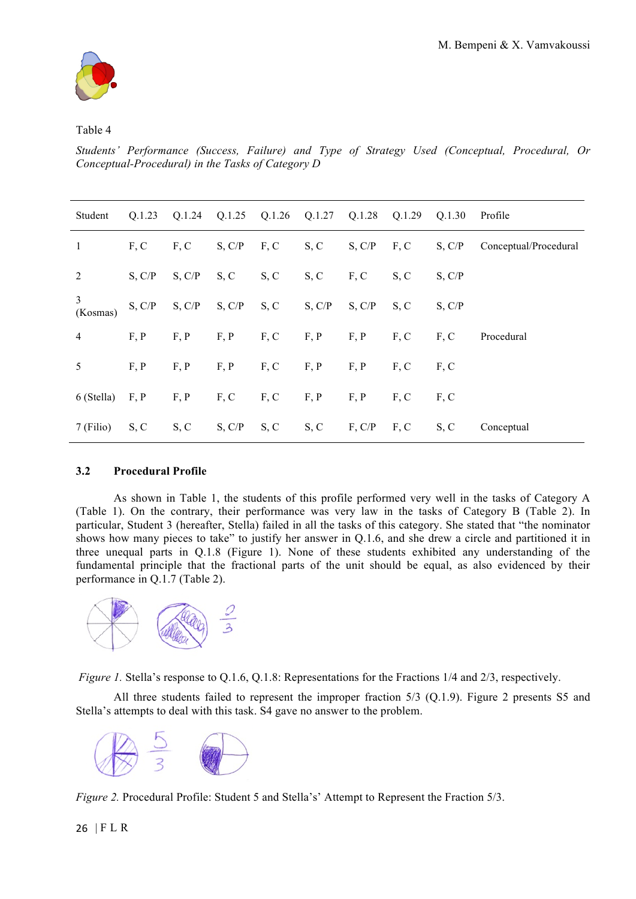

## Table 4

*Students' Performance (Success, Failure) and Type of Strategy Used (Conceptual, Procedural, Or Conceptual-Procedural) in the Tasks of Category D*

| Student        | Q.1.23 |        |                         |      | Q.1.24 Q.1.25 Q.1.26 Q.1.27 Q.1.28 Q.1.29 Q.1.30 |        |                 |        | Profile               |
|----------------|--------|--------|-------------------------|------|--------------------------------------------------|--------|-----------------|--------|-----------------------|
| 1              | F, C   | F, C   | S, C/P                  | F, C | S, C                                             | S, C/P | $F, C$ S, $C/P$ |        | Conceptual/Procedural |
| 2              | S, C/P | S, C/P | S, C                    | S, C | S, C                                             | F, C   | S, C            | S, C/P |                       |
| 3<br>(Kosmas)  | S, C/P | S, C/P | $S, C/P \subseteq S, C$ |      | S, C/P                                           | S, C/P | S, C            | S, C/P |                       |
| $\overline{4}$ | F, P   | F, P   | F, P                    | F, C | F, P                                             | F, P   | F, C            | F, C   | Procedural            |
| 5              | F, P   | F, P   | F, P                    | F, C | F, P                                             | F, P   | F, C            | F, C   |                       |
| 6 (Stella)     | F, P   | F, P   | F, C                    | F, C | F, P                                             | F, P   | F, C            | F, C   |                       |
| 7 (Filio)      | S, C   | S, C   | S, C/P                  | S, C | S, C                                             | F, C/P | F, C            | S, C   | Conceptual            |

# **3.2 Procedural Profile**

As shown in Table 1, the students of this profile performed very well in the tasks of Category A (Table 1). On the contrary, their performance was very law in the tasks of Category B (Table 2). In particular, Student 3 (hereafter, Stella) failed in all the tasks of this category. She stated that "the nominator shows how many pieces to take" to justify her answer in Q.1.6, and she drew a circle and partitioned it in three unequal parts in Q.1.8 (Figure 1). None of these students exhibited any understanding of the fundamental principle that the fractional parts of the unit should be equal, as also evidenced by their performance in Q.1.7 (Table 2).



*Figure 1.* Stella's response to Q.1.6, Q.1.8: Representations for the Fractions  $1/4$  and  $2/3$ , respectively.

All three students failed to represent the improper fraction 5/3 (Q.1.9). Figure 2 presents S5 and Stella's attempts to deal with this task. S4 gave no answer to the problem.



*Figure 2.* Procedural Profile: Student 5 and Stella's' Attempt to Represent the Fraction 5/3.

26 | FLR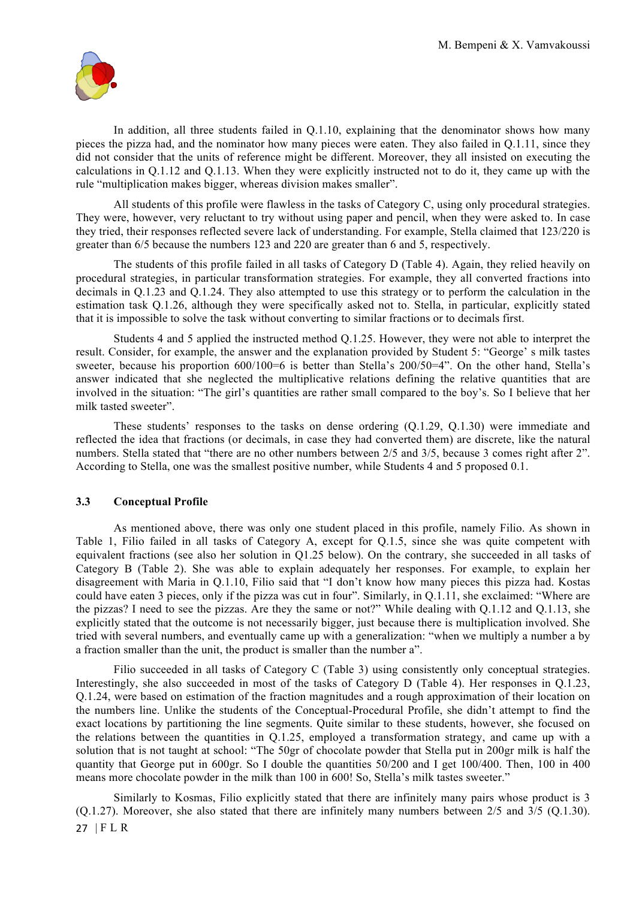

In addition, all three students failed in Q.1.10, explaining that the denominator shows how many pieces the pizza had, and the nominator how many pieces were eaten. They also failed in Q.1.11, since they did not consider that the units of reference might be different. Moreover, they all insisted on executing the calculations in Q.1.12 and Q.1.13. When they were explicitly instructed not to do it, they came up with the rule "multiplication makes bigger, whereas division makes smaller".

All students of this profile were flawless in the tasks of Category C, using only procedural strategies. They were, however, very reluctant to try without using paper and pencil, when they were asked to. In case they tried, their responses reflected severe lack of understanding. For example, Stella claimed that 123/220 is greater than 6/5 because the numbers 123 and 220 are greater than 6 and 5, respectively.

The students of this profile failed in all tasks of Category D (Table 4). Again, they relied heavily on procedural strategies, in particular transformation strategies. For example, they all converted fractions into decimals in Q.1.23 and Q.1.24. They also attempted to use this strategy or to perform the calculation in the estimation task Q.1.26, although they were specifically asked not to. Stella, in particular, explicitly stated that it is impossible to solve the task without converting to similar fractions or to decimals first.

Students 4 and 5 applied the instructed method Q.1.25. However, they were not able to interpret the result. Consider, for example, the answer and the explanation provided by Student 5: "George' s milk tastes sweeter, because his proportion 600/100=6 is better than Stella's 200/50=4". On the other hand, Stella's answer indicated that she neglected the multiplicative relations defining the relative quantities that are involved in the situation: "The girl's quantities are rather small compared to the boy's. So I believe that her milk tasted sweeter".

These students' responses to the tasks on dense ordering (Q.1.29, Q.1.30) were immediate and reflected the idea that fractions (or decimals, in case they had converted them) are discrete, like the natural numbers. Stella stated that "there are no other numbers between  $2/5$  and  $3/5$ , because 3 comes right after 2". According to Stella, one was the smallest positive number, while Students 4 and 5 proposed 0.1.

#### **3.3 Conceptual Profile**

As mentioned above, there was only one student placed in this profile, namely Filio. As shown in Table 1, Filio failed in all tasks of Category A, except for Q.1.5, since she was quite competent with equivalent fractions (see also her solution in Q1.25 below). On the contrary, she succeeded in all tasks of Category B (Table 2). She was able to explain adequately her responses. For example, to explain her disagreement with Maria in Q.1.10, Filio said that "I don't know how many pieces this pizza had. Kostas could have eaten 3 pieces, only if the pizza was cut in four". Similarly, in Q.1.11, she exclaimed: "Where are the pizzas? I need to see the pizzas. Are they the same or not?" While dealing with Q.1.12 and Q.1.13, she explicitly stated that the outcome is not necessarily bigger, just because there is multiplication involved. She tried with several numbers, and eventually came up with a generalization: "when we multiply a number a by a fraction smaller than the unit, the product is smaller than the number a".

Filio succeeded in all tasks of Category C (Table 3) using consistently only conceptual strategies. Interestingly, she also succeeded in most of the tasks of Category D (Table 4). Her responses in Q.1.23, Q.1.24, were based on estimation of the fraction magnitudes and a rough approximation of their location on the numbers line. Unlike the students of the Conceptual-Procedural Profile, she didn't attempt to find the exact locations by partitioning the line segments. Quite similar to these students, however, she focused on the relations between the quantities in Q.1.25, employed a transformation strategy, and came up with a solution that is not taught at school: "The 50gr of chocolate powder that Stella put in 200gr milk is half the quantity that George put in 600gr. So I double the quantities 50/200 and I get 100/400. Then, 100 in 400 means more chocolate powder in the milk than 100 in 600! So, Stella's milk tastes sweeter."

27 | FLR Similarly to Kosmas, Filio explicitly stated that there are infinitely many pairs whose product is 3 (Q.1.27). Moreover, she also stated that there are infinitely many numbers between 2/5 and 3/5 (Q.1.30).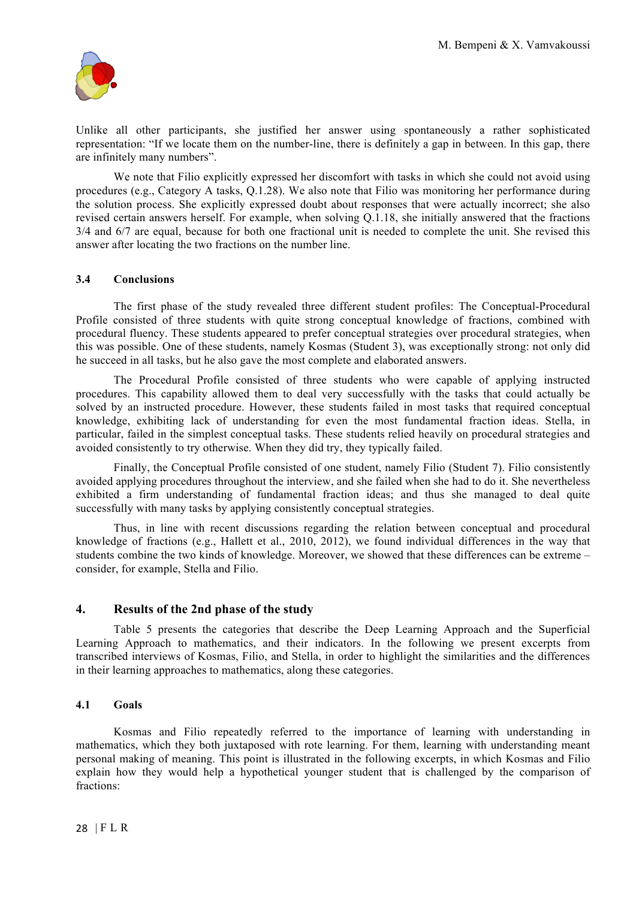

Unlike all other participants, she justified her answer using spontaneously a rather sophisticated representation: "If we locate them on the number-line, there is definitely a gap in between. In this gap, there are infinitely many numbers".

We note that Filio explicitly expressed her discomfort with tasks in which she could not avoid using procedures (e.g., Category A tasks, Q.1.28). We also note that Filio was monitoring her performance during the solution process. She explicitly expressed doubt about responses that were actually incorrect; she also revised certain answers herself. For example, when solving Q.1.18, she initially answered that the fractions 3/4 and 6/7 are equal, because for both one fractional unit is needed to complete the unit. She revised this answer after locating the two fractions on the number line.

## **3.4 Conclusions**

The first phase of the study revealed three different student profiles: The Conceptual-Procedural Profile consisted of three students with quite strong conceptual knowledge of fractions, combined with procedural fluency. These students appeared to prefer conceptual strategies over procedural strategies, when this was possible. One of these students, namely Kosmas (Student 3), was exceptionally strong: not only did he succeed in all tasks, but he also gave the most complete and elaborated answers.

The Procedural Profile consisted of three students who were capable of applying instructed procedures. This capability allowed them to deal very successfully with the tasks that could actually be solved by an instructed procedure. However, these students failed in most tasks that required conceptual knowledge, exhibiting lack of understanding for even the most fundamental fraction ideas. Stella, in particular, failed in the simplest conceptual tasks. These students relied heavily on procedural strategies and avoided consistently to try otherwise. When they did try, they typically failed.

Finally, the Conceptual Profile consisted of one student, namely Filio (Student 7). Filio consistently avoided applying procedures throughout the interview, and she failed when she had to do it. She nevertheless exhibited a firm understanding of fundamental fraction ideas; and thus she managed to deal quite successfully with many tasks by applying consistently conceptual strategies.

Thus, in line with recent discussions regarding the relation between conceptual and procedural knowledge of fractions (e.g., Hallett et al., 2010, 2012), we found individual differences in the way that students combine the two kinds of knowledge. Moreover, we showed that these differences can be extreme – consider, for example, Stella and Filio.

#### **4. Results of the 2nd phase of the study**

Table 5 presents the categories that describe the Deep Learning Approach and the Superficial Learning Approach to mathematics, and their indicators. In the following we present excerpts from transcribed interviews of Kosmas, Filio, and Stella, in order to highlight the similarities and the differences in their learning approaches to mathematics, along these categories.

#### **4.1 Goals**

Kosmas and Filio repeatedly referred to the importance of learning with understanding in mathematics, which they both juxtaposed with rote learning. For them, learning with understanding meant personal making of meaning. This point is illustrated in the following excerpts, in which Kosmas and Filio explain how they would help a hypothetical younger student that is challenged by the comparison of fractions: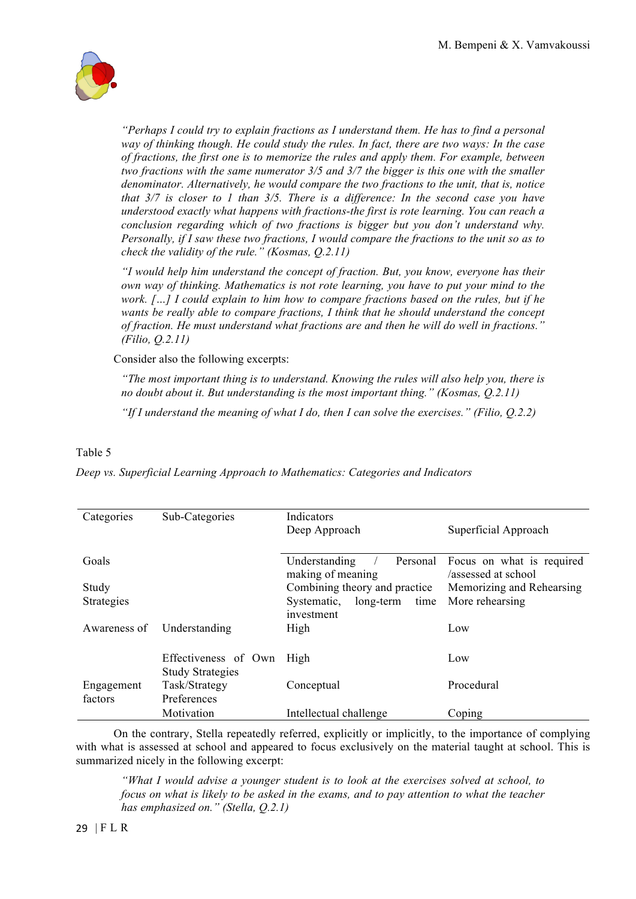

*"Perhaps I could try to explain fractions as I understand them. He has to find a personal way of thinking though. He could study the rules. In fact, there are two ways: In the case of fractions, the first one is to memorize the rules and apply them. For example, between two fractions with the same numerator 3/5 and 3/7 the bigger is this one with the smaller denominator. Alternatively, he would compare the two fractions to the unit, that is, notice that 3/7 is closer to 1 than 3/5. There is a difference: In the second case you have understood exactly what happens with fractions-the first is rote learning. You can reach a conclusion regarding which of two fractions is bigger but you don't understand why. Personally, if I saw these two fractions, I would compare the fractions to the unit so as to check the validity of the rule." (Kosmas, Q.2.11)* 

*"I would help him understand the concept of fraction. But, you know, everyone has their own way of thinking. Mathematics is not rote learning, you have to put your mind to the work. […] I could explain to him how to compare fractions based on the rules, but if he wants be really able to compare fractions, I think that he should understand the concept of fraction. He must understand what fractions are and then he will do well in fractions." (Filio, Q.2.11)*

Consider also the following excerpts:

*"The most important thing is to understand. Knowing the rules will also help you, there is no doubt about it. But understanding is the most important thing." (Kosmas, Q.2.11)*

*"If I understand the meaning of what I do, then I can solve the exercises." (Filio, Q.2.2)*

#### Table 5

| Categories            | Sub-Categories                                  | Indicators<br>Deep Approach                    | Superficial Approach                             |
|-----------------------|-------------------------------------------------|------------------------------------------------|--------------------------------------------------|
| Goals                 |                                                 | Understanding<br>Personal<br>making of meaning | Focus on what is required<br>/assessed at school |
| Study                 |                                                 | Combining theory and practice                  | Memorizing and Rehearsing                        |
| <b>Strategies</b>     |                                                 | Systematic,<br>long-term<br>time<br>investment | More rehearsing                                  |
| Awareness of          | Understanding                                   | High                                           | Low                                              |
|                       | Effectiveness of Own<br><b>Study Strategies</b> | High                                           | Low                                              |
| Engagement<br>factors | Task/Strategy<br>Preferences                    | Conceptual                                     | Procedural                                       |
|                       | Motivation                                      | Intellectual challenge                         | Coping                                           |

*Deep vs. Superficial Learning Approach to Mathematics: Categories and Indicators*

On the contrary, Stella repeatedly referred, explicitly or implicitly, to the importance of complying with what is assessed at school and appeared to focus exclusively on the material taught at school. This is summarized nicely in the following excerpt:

*"What I would advise a younger student is to look at the exercises solved at school, to focus on what is likely to be asked in the exams, and to pay attention to what the teacher has emphasized on." (Stella, Q.2.1)*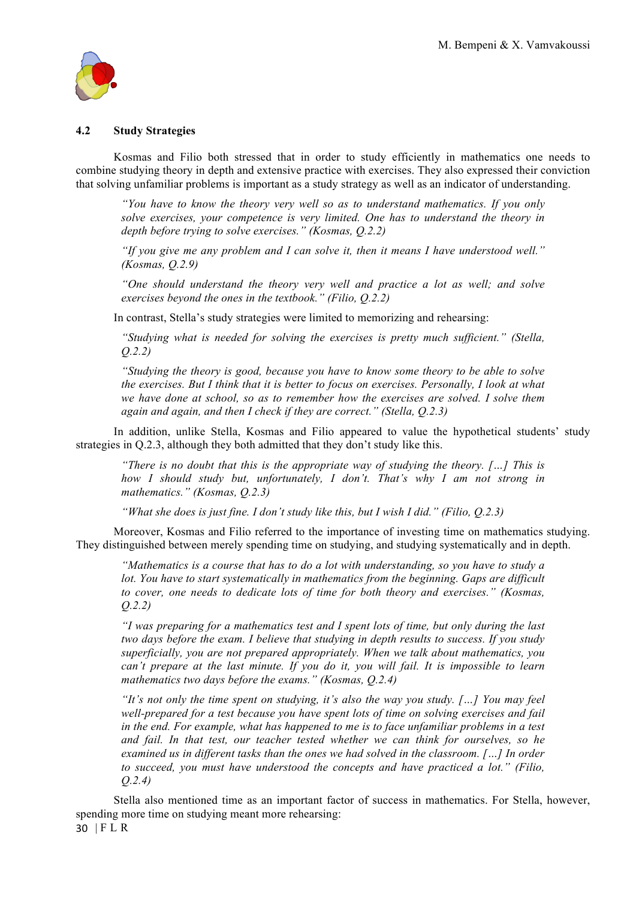

#### **4.2 Study Strategies**

Kosmas and Filio both stressed that in order to study efficiently in mathematics one needs to combine studying theory in depth and extensive practice with exercises. They also expressed their conviction that solving unfamiliar problems is important as a study strategy as well as an indicator of understanding.

*"You have to know the theory very well so as to understand mathematics. If you only solve exercises, your competence is very limited. One has to understand the theory in depth before trying to solve exercises." (Kosmas, Q.2.2)*

*"If you give me any problem and I can solve it, then it means I have understood well." (Kosmas, Q.2.9)*

*"One should understand the theory very well and practice a lot as well; and solve exercises beyond the ones in the textbook." (Filio, Q.2.2)* 

In contrast, Stella's study strategies were limited to memorizing and rehearsing:

*"Studying what is needed for solving the exercises is pretty much sufficient." (Stella, Q.2.2)*

*"Studying the theory is good, because you have to know some theory to be able to solve the exercises. But I think that it is better to focus on exercises. Personally, I look at what we have done at school, so as to remember how the exercises are solved. I solve them again and again, and then I check if they are correct." (Stella, Q.2.3)*

In addition, unlike Stella, Kosmas and Filio appeared to value the hypothetical students' study strategies in Q.2.3, although they both admitted that they don't study like this.

*"There is no doubt that this is the appropriate way of studying the theory. […] This is how I should study but, unfortunately, I don't. That's why I am not strong in mathematics." (Kosmas, Q.2.3)*

*"What she does is just fine. I don't study like this, but I wish I did." (Filio, Q.2.3)* 

Moreover, Kosmas and Filio referred to the importance of investing time on mathematics studying. They distinguished between merely spending time on studying, and studying systematically and in depth.

*"Mathematics is a course that has to do a lot with understanding, so you have to study a*  lot. You have to start systematically in mathematics from the beginning. Gaps are difficult *to cover, one needs to dedicate lots of time for both theory and exercises." (Kosmas, Q.2.2)*

*"I was preparing for a mathematics test and I spent lots of time, but only during the last two days before the exam. I believe that studying in depth results to success. If you study superficially, you are not prepared appropriately. When we talk about mathematics, you can't prepare at the last minute. If you do it, you will fail. It is impossible to learn mathematics two days before the exams." (Kosmas, Q.2.4)* 

*"It's not only the time spent on studying, it's also the way you study. […] You may feel well-prepared for a test because you have spent lots of time on solving exercises and fail in the end. For example, what has happened to me is to face unfamiliar problems in a test and fail. In that test, our teacher tested whether we can think for ourselves, so he examined us in different tasks than the ones we had solved in the classroom. […] In order to succeed, you must have understood the concepts and have practiced a lot." (Filio, Q.2.4)*

30 | FLR Stella also mentioned time as an important factor of success in mathematics. For Stella, however, spending more time on studying meant more rehearsing: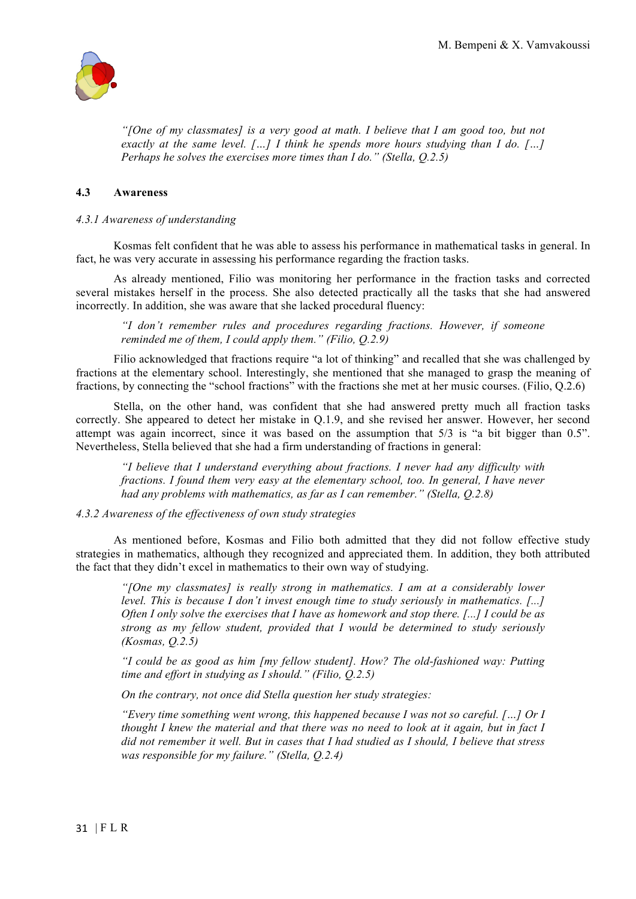

*"[One of my classmates] is a very good at math. I believe that I am good too, but not exactly at the same level. […] I think he spends more hours studying than I do. […] Perhaps he solves the exercises more times than I do." (Stella, Q.2.5)*

## **4.3 Awareness**

#### *4.3.1 Awareness of understanding*

Kosmas felt confident that he was able to assess his performance in mathematical tasks in general. In fact, he was very accurate in assessing his performance regarding the fraction tasks.

As already mentioned, Filio was monitoring her performance in the fraction tasks and corrected several mistakes herself in the process. She also detected practically all the tasks that she had answered incorrectly. In addition, she was aware that she lacked procedural fluency:

*"I don't remember rules and procedures regarding fractions. However, if someone reminded me of them, I could apply them." (Filio, Q.2.9)*

Filio acknowledged that fractions require "a lot of thinking" and recalled that she was challenged by fractions at the elementary school. Interestingly, she mentioned that she managed to grasp the meaning of fractions, by connecting the "school fractions" with the fractions she met at her music courses. (Filio, Q.2.6)

Stella, on the other hand, was confident that she had answered pretty much all fraction tasks correctly. She appeared to detect her mistake in Q.1.9, and she revised her answer. However, her second attempt was again incorrect, since it was based on the assumption that 5/3 is "a bit bigger than 0.5". Nevertheless, Stella believed that she had a firm understanding of fractions in general:

*"I believe that I understand everything about fractions. I never had any difficulty with fractions. I found them very easy at the elementary school, too. In general, I have never had any problems with mathematics, as far as I can remember." (Stella, Q.2.8)*

#### *4.3.2 Awareness of the effectiveness of own study strategies*

As mentioned before, Kosmas and Filio both admitted that they did not follow effective study strategies in mathematics, although they recognized and appreciated them. In addition, they both attributed the fact that they didn't excel in mathematics to their own way of studying.

*"[One my classmates] is really strong in mathematics. I am at a considerably lower level. This is because I don't invest enough time to study seriously in mathematics. [...] Often I only solve the exercises that I have as homework and stop there. [...] I could be as strong as my fellow student, provided that I would be determined to study seriously (Kosmas, Q.2.5)* 

*"I could be as good as him [my fellow student]. How? The old-fashioned way: Putting time and effort in studying as I should." (Filio, Q.2.5)* 

*On the contrary, not once did Stella question her study strategies:* 

*"Every time something went wrong, this happened because I was not so careful. […] Or I thought I knew the material and that there was no need to look at it again, but in fact I did not remember it well. But in cases that I had studied as I should, I believe that stress was responsible for my failure." (Stella, Q.2.4)*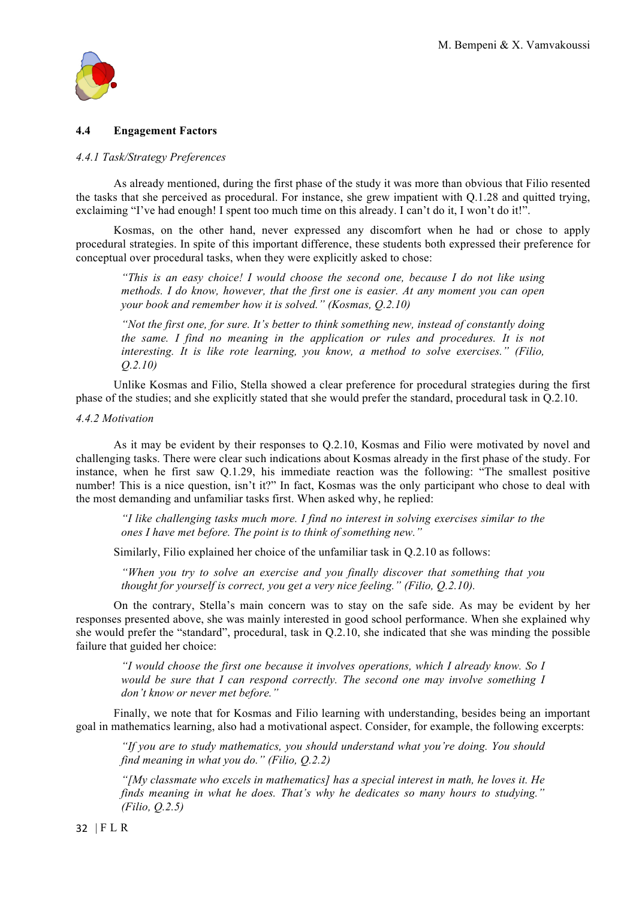

## **4.4 Engagement Factors**

#### *4.4.1 Task/Strategy Preferences*

As already mentioned, during the first phase of the study it was more than obvious that Filio resented the tasks that she perceived as procedural. For instance, she grew impatient with Q.1.28 and quitted trying, exclaiming "I've had enough! I spent too much time on this already. I can't do it, I won't do it!".

Kosmas, on the other hand, never expressed any discomfort when he had or chose to apply procedural strategies. In spite of this important difference, these students both expressed their preference for conceptual over procedural tasks, when they were explicitly asked to chose:

*"This is an easy choice! I would choose the second one, because I do not like using methods. I do know, however, that the first one is easier. At any moment you can open your book and remember how it is solved." (Kosmas, Q.2.10)*

*"Not the first one, for sure. It's better to think something new, instead of constantly doing the same. I find no meaning in the application or rules and procedures. It is not interesting. It is like rote learning, you know, a method to solve exercises." (Filio, Q.2.10)*

Unlike Kosmas and Filio, Stella showed a clear preference for procedural strategies during the first phase of the studies; and she explicitly stated that she would prefer the standard, procedural task in Q.2.10.

#### *4.4.2 Motivation*

As it may be evident by their responses to Q.2.10, Kosmas and Filio were motivated by novel and challenging tasks. There were clear such indications about Kosmas already in the first phase of the study. For instance, when he first saw Q.1.29, his immediate reaction was the following: "The smallest positive number! This is a nice question, isn't it?" In fact, Kosmas was the only participant who chose to deal with the most demanding and unfamiliar tasks first. When asked why, he replied:

*"I like challenging tasks much more. I find no interest in solving exercises similar to the ones I have met before. The point is to think of something new."*

Similarly, Filio explained her choice of the unfamiliar task in Q.2.10 as follows:

*"When you try to solve an exercise and you finally discover that something that you thought for yourself is correct, you get a very nice feeling." (Filio, Q.2.10).*

On the contrary, Stella's main concern was to stay on the safe side. As may be evident by her responses presented above, she was mainly interested in good school performance. When she explained why she would prefer the "standard", procedural, task in Q.2.10, she indicated that she was minding the possible failure that guided her choice:

*"I would choose the first one because it involves operations, which I already know. So I would be sure that I can respond correctly. The second one may involve something I don't know or never met before."*

Finally, we note that for Kosmas and Filio learning with understanding, besides being an important goal in mathematics learning, also had a motivational aspect. Consider, for example, the following excerpts:

*"If you are to study mathematics, you should understand what you're doing. You should find meaning in what you do." (Filio, Q.2.2)*

*"[My classmate who excels in mathematics] has a special interest in math, he loves it. He finds meaning in what he does. That's why he dedicates so many hours to studying." (Filio, Q.2.5)*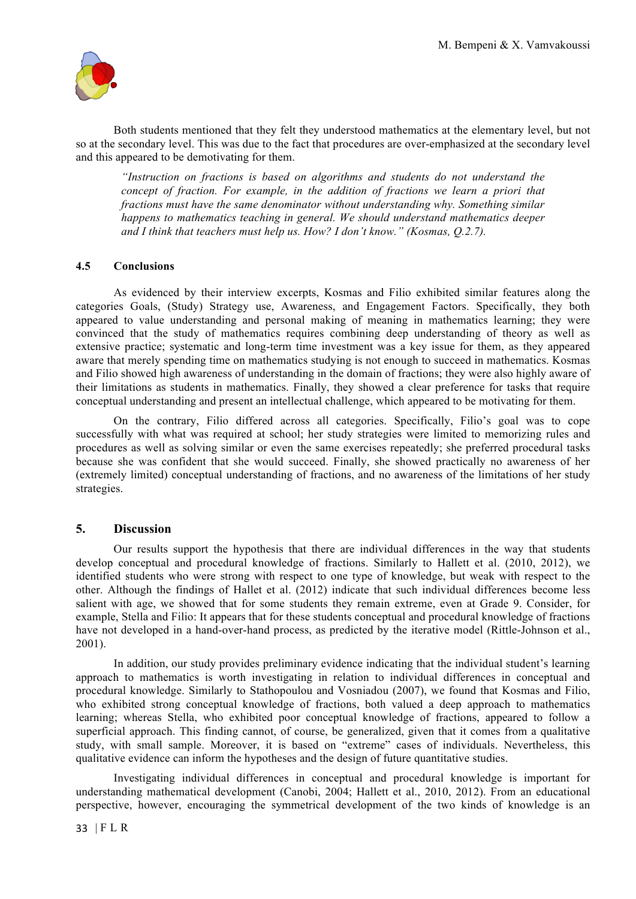

Both students mentioned that they felt they understood mathematics at the elementary level, but not so at the secondary level. This was due to the fact that procedures are over-emphasized at the secondary level and this appeared to be demotivating for them.

*"Instruction on fractions is based on algorithms and students do not understand the concept of fraction. For example, in the addition of fractions we learn a priori that fractions must have the same denominator without understanding why. Something similar happens to mathematics teaching in general. We should understand mathematics deeper and I think that teachers must help us. How? I don't know." (Kosmas, Q.2.7).*

#### **4.5 Conclusions**

As evidenced by their interview excerpts, Kosmas and Filio exhibited similar features along the categories Goals, (Study) Strategy use, Awareness, and Engagement Factors. Specifically, they both appeared to value understanding and personal making of meaning in mathematics learning; they were convinced that the study of mathematics requires combining deep understanding of theory as well as extensive practice; systematic and long-term time investment was a key issue for them, as they appeared aware that merely spending time on mathematics studying is not enough to succeed in mathematics. Kosmas and Filio showed high awareness of understanding in the domain of fractions; they were also highly aware of their limitations as students in mathematics. Finally, they showed a clear preference for tasks that require conceptual understanding and present an intellectual challenge, which appeared to be motivating for them.

On the contrary, Filio differed across all categories. Specifically, Filio's goal was to cope successfully with what was required at school; her study strategies were limited to memorizing rules and procedures as well as solving similar or even the same exercises repeatedly; she preferred procedural tasks because she was confident that she would succeed. Finally, she showed practically no awareness of her (extremely limited) conceptual understanding of fractions, and no awareness of the limitations of her study strategies.

#### **5. Discussion**

Our results support the hypothesis that there are individual differences in the way that students develop conceptual and procedural knowledge of fractions. Similarly to Hallett et al. (2010, 2012), we identified students who were strong with respect to one type of knowledge, but weak with respect to the other. Although the findings of Hallet et al. (2012) indicate that such individual differences become less salient with age, we showed that for some students they remain extreme, even at Grade 9. Consider, for example, Stella and Filio: It appears that for these students conceptual and procedural knowledge of fractions have not developed in a hand-over-hand process, as predicted by the iterative model (Rittle-Johnson et al., 2001).

In addition, our study provides preliminary evidence indicating that the individual student's learning approach to mathematics is worth investigating in relation to individual differences in conceptual and procedural knowledge. Similarly to Stathopoulou and Vosniadou (2007), we found that Kosmas and Filio, who exhibited strong conceptual knowledge of fractions, both valued a deep approach to mathematics learning; whereas Stella, who exhibited poor conceptual knowledge of fractions, appeared to follow a superficial approach. This finding cannot, of course, be generalized, given that it comes from a qualitative study, with small sample. Moreover, it is based on "extreme" cases of individuals. Nevertheless, this qualitative evidence can inform the hypotheses and the design of future quantitative studies.

Investigating individual differences in conceptual and procedural knowledge is important for understanding mathematical development (Canobi, 2004; Hallett et al., 2010, 2012). From an educational perspective, however, encouraging the symmetrical development of the two kinds of knowledge is an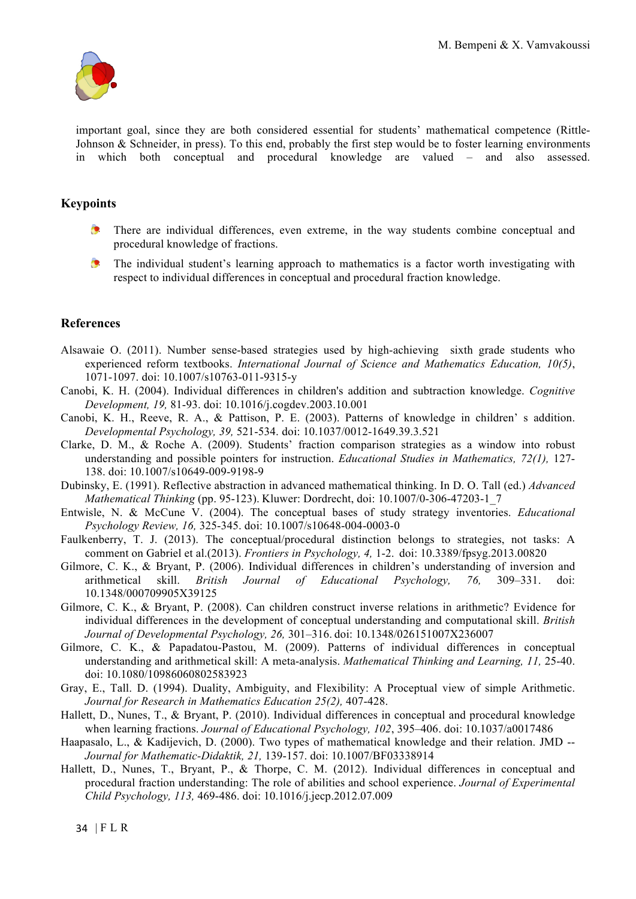

important goal, since they are both considered essential for students' mathematical competence (Rittle-Johnson & Schneider, in press). To this end, probably the first step would be to foster learning environments in which both conceptual and procedural knowledge are valued – and also assessed.

# **Keypoints**

- $\bullet$ There are individual differences, even extreme, in the way students combine conceptual and procedural knowledge of fractions.
- $\bullet$ The individual student's learning approach to mathematics is a factor worth investigating with respect to individual differences in conceptual and procedural fraction knowledge.

## **References**

- Alsawaie O. (2011). Number sense-based strategies used by high-achieving sixth grade students who experienced reform textbooks. *International Journal of Science and Mathematics Education, 10(5)*, 1071-1097. doi: 10.1007/s10763-011-9315-y
- Canobi, K. H. (2004). Individual differences in children's addition and subtraction knowledge. *Cognitive Development, 19,* 81-93. doi: 10.1016/j.cogdev.2003.10.001
- Canobi, K. H., Reeve, R. A., & Pattison, P. E. (2003). Patterns of knowledge in children' s addition. *Developmental Psychology, 39,* 521-534. doi: 10.1037/0012-1649.39.3.521
- Clarke, D. M., & Roche Α. (2009). Students' fraction comparison strategies as a window into robust understanding and possible pointers for instruction. *Educational Studies in Mathematics, 72(1),* 127- 138. doi: 10.1007/s10649-009-9198-9
- Dubinsky, E. (1991). Reflective abstraction in advanced mathematical thinking. In D. O. Tall (ed.) *Advanced Mathematical Thinking* (pp. 95-123). Kluwer: Dordrecht, doi: 10.1007/0-306-47203-1\_7
- Entwisle, N. & McCune V. (2004). The conceptual bases of study strategy inventories. *Educational Psychology Review, 16,* 325-345. doi: 10.1007/s10648-004-0003-0
- Faulkenberry, T. J. (2013). The conceptual/procedural distinction belongs to strategies, not tasks: A comment on Gabriel et al.(2013). *Frontiers in Psychology, 4,* 1-2. doi: 10.3389/fpsyg.2013.00820
- Gilmore, C. K., & Bryant, P. (2006). Individual differences in children's understanding of inversion and arithmetical skill. *British Journal of Educational Psychology, 76,* 309–331. doi: 10.1348/000709905X39125
- Gilmore, C. K., & Bryant, P. (2008). Can children construct inverse relations in arithmetic? Evidence for individual differences in the development of conceptual understanding and computational skill. *British Journal of Developmental Psychology, 26,* 301–316. doi: 10.1348/026151007X236007
- Gilmore, C. K., & Papadatou-Pastou, M. (2009). Patterns of individual differences in conceptual understanding and arithmetical skill: A meta-analysis. *Mathematical Thinking and Learning, 11,* 25-40. doi: 10.1080/10986060802583923
- Gray, E., Tall. D. (1994). Duality, Ambiguity, and Flexibility: A Proceptual view of simple Arithmetic. *Journal for Research in Mathematics Education 25(2),* 407-428.
- Hallett, D., Nunes, T., & Bryant, P. (2010). Individual differences in conceptual and procedural knowledge when learning fractions. *Journal of Educational Psychology, 102*, 395–406. doi: 10.1037/a0017486
- Haapasalo, L., & Kadijevich, D. (2000). Two types of mathematical knowledge and their relation. JMD -- *Journal for Mathematic-Didaktik, 21,* 139-157. doi: 10.1007/BF03338914
- Hallett, D., Nunes, T., Bryant, P., & Thorpe, C. M. (2012). Individual differences in conceptual and procedural fraction understanding: The role of abilities and school experience. *Journal of Experimental Child Psychology, 113,* 469-486. doi: 10.1016/j.jecp.2012.07.009

34 | FLR